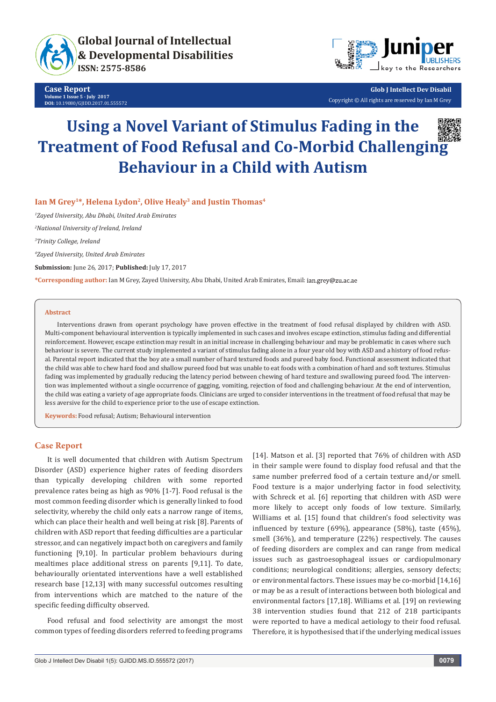

**Case Report Volume 1 Issue 5 - July 2017 DOI:** [10.19080/GJIDD.2017.01.555572](http://dx.doi.org/10.19080/GJIDD.2017.01.555572
)



**Glob J Intellect Dev Disabil** Copyright © All rights are reserved by Ian M Grey

# **Using a Novel Variant of Stimulus Fading in the Treatment of Food Refusal and Co-Morbid Challenging Behaviour in a Child with Autism**



Ian M Grey<sup>1\*</sup>, Helena Lydon<sup>2</sup>, Olive Healy<sup>3</sup> and Justin Thomas<sup>4</sup>

*1 Zayed University, Abu Dhabi, United Arab Emirates*

*2 National University of Ireland, Ireland*

*3 Trinity College, Ireland*

*4 Zayed University, United Arab Emirates*

**Submission:** June 26, 2017; **Published:** July 17, 2017

**\*Corresponding author:** Ian M Grey, Zayed University, Abu Dhabi, United Arab Emirates, Email:

#### **Abstract**

Interventions drawn from operant psychology have proven effective in the treatment of food refusal displayed by children with ASD. Multi-component behavioural intervention is typically implemented in such cases and involves escape extinction, stimulus fading and differential reinforcement. However, escape extinction may result in an initial increase in challenging behaviour and may be problematic in cases where such behaviour is severe. The current study implemented a variant of stimulus fading alone in a four year old boy with ASD and a history of food refusal. Parental report indicated that the boy ate a small number of hard textured foods and pureed baby food. Functional assessment indicated that the child was able to chew hard food and shallow pureed food but was unable to eat foods with a combination of hard and soft textures. Stimulus fading was implemented by gradually reducing the latency period between chewing of hard texture and swallowing pureed food. The intervention was implemented without a single occurrence of gagging, vomiting, rejection of food and challenging behaviour. At the end of intervention, the child was eating a variety of age appropriate foods. Clinicians are urged to consider interventions in the treatment of food refusal that may be less aversive for the child to experience prior to the use of escape extinction.

**Keywords:** Food refusal; Autism; Behavioural intervention

## **Case Report**

It is well documented that children with Autism Spectrum Disorder (ASD) experience higher rates of feeding disorders than typically developing children with some reported prevalence rates being as high as 90% [1-7]. Food refusal is the most common feeding disorder which is generally linked to food selectivity, whereby the child only eats a narrow range of items, which can place their health and well being at risk [8]. Parents of children with ASD report that feeding difficulties are a particular stressor, and can negatively impact both on caregivers and family functioning [9,10]. In particular problem behaviours during mealtimes place additional stress on parents [9,11]. To date, behaviourally orientated interventions have a well established research base [12,13] with many successful outcomes resulting from interventions which are matched to the nature of the specific feeding difficulty observed.

Food refusal and food selectivity are amongst the most common types of feeding disorders referred to feeding programs

[14]. Matson et al. [3] reported that 76% of children with ASD in their sample were found to display food refusal and that the same number preferred food of a certain texture and/or smell. Food texture is a major underlying factor in food selectivity, with Schreck et al. [6] reporting that children with ASD were more likely to accept only foods of low texture. Similarly, Williams et al. [15] found that children's food selectivity was influenced by texture (69%), appearance (58%), taste (45%), smell (36%), and temperature (22%) respectively. The causes of feeding disorders are complex and can range from medical issues such as gastroesophageal issues or cardiopulmonary conditions; neurological conditions; allergies, sensory defects; or environmental factors. These issues may be co-morbid [14,16] or may be as a result of interactions between both biological and environmental factors [17,18]. Williams et al. [19] on reviewing 38 intervention studies found that 212 of 218 participants were reported to have a medical aetiology to their food refusal. Therefore, it is hypothesised that if the underlying medical issues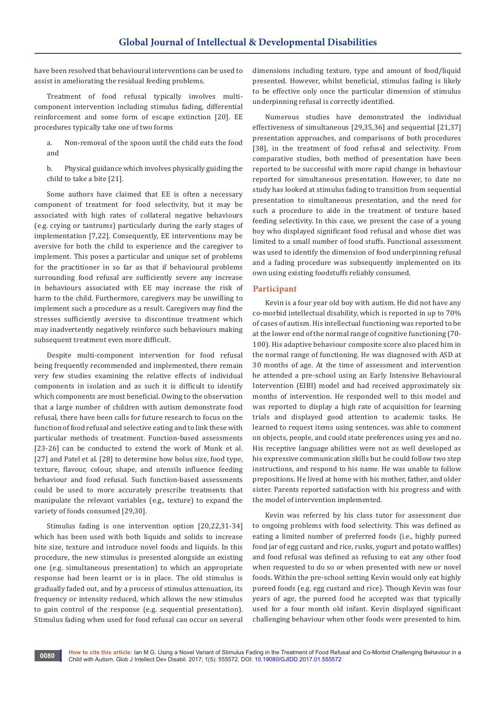have been resolved that behavioural interventions can be used to assist in ameliorating the residual feeding problems.

Treatment of food refusal typically involves multicomponent intervention including stimulus fading, differential reinforcement and some form of escape extinction [20]. EE procedures typically take one of two forms

- a. Non-removal of the spoon until the child eats the food and
- b. Physical guidance which involves physically guiding the child to take a bite [21].

Some authors have claimed that EE is often a necessary component of treatment for food selectivity, but it may be associated with high rates of collateral negative behaviours (e.g. crying or tantrums) particularly during the early stages of implementation [7,22]. Consequently, EE interventions may be aversive for both the child to experience and the caregiver to implement. This poses a particular and unique set of problems for the practitioner in so far as that if behavioural problems surrounding food refusal are sufficiently severe any increase in behaviours associated with EE may increase the risk of harm to the child. Furthermore, caregivers may be unwilling to implement such a procedure as a result. Caregivers may find the stresses sufficiently aversive to discontinue treatment which may inadvertently negatively reinforce such behaviours making subsequent treatment even more difficult.

Despite multi-component intervention for food refusal being frequently recommended and implemented, there remain very few studies examining the relative effects of individual components in isolation and as such it is difficult to identify which components are most beneficial. Owing to the observation that a large number of children with autism demonstrate food refusal, there have been calls for future research to focus on the function of food refusal and selective eating and to link these with particular methods of treatment. Function-based assessments [23-26] can be conducted to extend the work of Munk et al. [27] and Patel et al. [28] to determine how bolus size, food type, texture, flavour, colour, shape, and utensils influence feeding behaviour and food refusal. Such function-based assessments could be used to more accurately prescribe treatments that manipulate the relevant variables (e.g., texture) to expand the variety of foods consumed [29,30].

Stimulus fading is one intervention option [20,22,31-34] which has been used with both liquids and solids to increase bite size, texture and introduce novel foods and liquids. In this procedure, the new stimulus is presented alongside an existing one (e.g. simultaneous presentation) to which an appropriate response had been learnt or is in place. The old stimulus is gradually faded out, and by a process of stimulus attenuation, its frequency or intensity reduced, which allows the new stimulus to gain control of the response (e.g. sequential presentation). Stimulus fading when used for food refusal can occur on several

dimensions including texture, type and amount of food/liquid presented. However, whilst beneficial, stimulus fading is likely to be effective only once the particular dimension of stimulus underpinning refusal is correctly identified.

Numerous studies have demonstrated the individual effectiveness of simultaneous [29,35,36] and sequential [21,37] presentation approaches, and comparisons of both procedures [38], in the treatment of food refusal and selectivity. From comparative studies, both method of presentation have been reported to be successful with more rapid change in behaviour reported for simultaneous presentation. However, to date no study has looked at stimulus fading to transition from sequential presentation to simultaneous presentation, and the need for such a procedure to aide in the treatment of texture based feeding selectivity. In this case, we present the case of a young boy who displayed significant food refusal and whose diet was limited to a small number of food stuffs. Functional assessment was used to identify the dimension of food underpinning refusal and a fading procedure was subsequently implemented on its own using existing foodstuffs reliably consumed.

### **Participant**

Kevin is a four year old boy with autism. He did not have any co-morbid intellectual disability, which is reported in up to 70% of cases of autism. His intellectual functioning was reported to be at the lower end of the normal range of cognitive functioning (70- 100). His adaptive behaviour composite score also placed him in the normal range of functioning. He was diagnosed with ASD at 30 months of age. At the time of assessment and intervention he attended a pre-school using an Early Intensive Behavioural Intervention (EIBI) model and had received approximately six months of intervention. He responded well to this model and was reported to display a high rate of acquisition for learning trials and displayed good attention to academic tasks. He learned to request items using sentences, was able to comment on objects, people, and could state preferences using yes and no. His receptive language abilities were not as well developed as his expressive communication skills but he could follow two step instructions, and respond to his name. He was unable to follow prepositions. He lived at home with his mother, father, and older sister. Parents reported satisfaction with his progress and with the model of intervention implemented.

Kevin was referred by his class tutor for assessment due to ongoing problems with food selectivity. This was defined as eating a limited number of preferred foods (i.e., highly pureed food jar of egg custard and rice, rusks, yogurt and potato waffles) and food refusal was defined as refusing to eat any other food when requested to do so or when presented with new or novel foods. Within the pre-school setting Kevin would only eat highly pureed foods (e.g. egg custard and rice). Though Kevin was four years of age, the pureed food he accepted was that typically used for a four month old infant. Kevin displayed significant challenging behaviour when other foods were presented to him.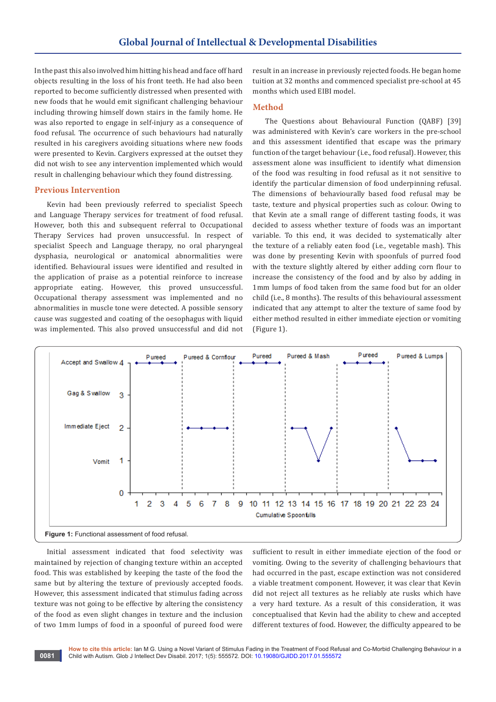In the past this also involved him hitting his head and face off hard objects resulting in the loss of his front teeth. He had also been reported to become sufficiently distressed when presented with new foods that he would emit significant challenging behaviour including throwing himself down stairs in the family home. He was also reported to engage in self-injury as a consequence of food refusal. The occurrence of such behaviours had naturally resulted in his caregivers avoiding situations where new foods were presented to Kevin. Cargivers expressed at the outset they did not wish to see any intervention implemented which would result in challenging behaviour which they found distressing.

#### **Previous Intervention**

Kevin had been previously referred to specialist Speech and Language Therapy services for treatment of food refusal. However, both this and subsequent referral to Occupational Therapy Services had proven unsuccessful. In respect of specialist Speech and Language therapy, no oral pharyngeal dysphasia, neurological or anatomical abnormalities were identified. Behavioural issues were identified and resulted in the application of praise as a potential reinforce to increase appropriate eating. However, this proved unsuccessful. Occupational therapy assessment was implemented and no abnormalities in muscle tone were detected. A possible sensory cause was suggested and coating of the oesophagus with liquid was implemented. This also proved unsuccessful and did not

result in an increase in previously rejected foods. He began home tuition at 32 months and commenced specialist pre-school at 45 months which used EIBI model.

#### **Method**

The Questions about Behavioural Function (QABF) [39] was administered with Kevin's care workers in the pre-school and this assessment identified that escape was the primary function of the target behaviour (i.e., food refusal). However, this assessment alone was insufficient to identify what dimension of the food was resulting in food refusal as it not sensitive to identify the particular dimension of food underpinning refusal. The dimensions of behaviourally based food refusal may be taste, texture and physical properties such as colour. Owing to that Kevin ate a small range of different tasting foods, it was decided to assess whether texture of foods was an important variable. To this end, it was decided to systematically alter the texture of a reliably eaten food (i.e., vegetable mash). This was done by presenting Kevin with spoonfuls of purred food with the texture slightly altered by either adding corn flour to increase the consistency of the food and by also by adding in 1mm lumps of food taken from the same food but for an older child (i.e., 8 months). The results of this behavioural assessment indicated that any attempt to alter the texture of same food by either method resulted in either immediate ejection or vomiting (Figure 1).



Initial assessment indicated that food selectivity was maintained by rejection of changing texture within an accepted food. This was established by keeping the taste of the food the same but by altering the texture of previously accepted foods. However, this assessment indicated that stimulus fading across texture was not going to be effective by altering the consistency of the food as even slight changes in texture and the inclusion of two 1mm lumps of food in a spoonful of pureed food were

sufficient to result in either immediate ejection of the food or vomiting. Owing to the severity of challenging behaviours that had occurred in the past, escape extinction was not considered a viable treatment component. However, it was clear that Kevin did not reject all textures as he reliably ate rusks which have a very hard texture. As a result of this consideration, it was conceptualised that Kevin had the ability to chew and accepted different textures of food. However, the difficulty appeared to be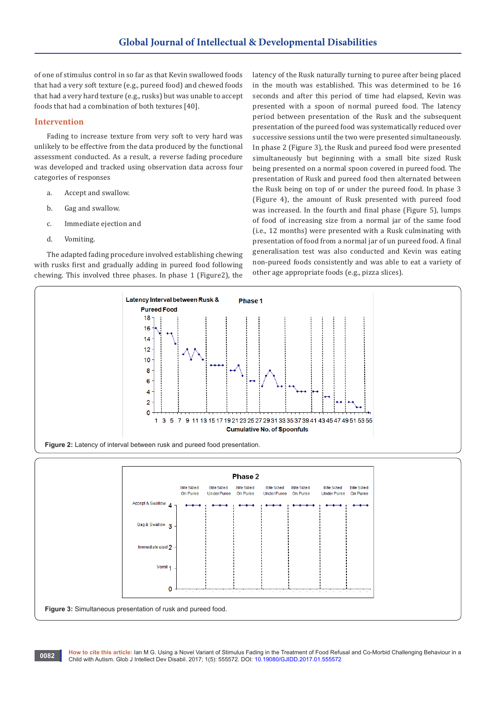of one of stimulus control in so far as that Kevin swallowed foods that had a very soft texture (e.g., pureed food) and chewed foods that had a very hard texture (e.g., rusks) but was unable to accept foods that had a combination of both textures [40].

## **Intervention**

Fading to increase texture from very soft to very hard was unlikely to be effective from the data produced by the functional assessment conducted. As a result, a reverse fading procedure was developed and tracked using observation data across four categories of responses

- a. Accept and swallow.
- b. Gag and swallow.
- c. Immediate ejection and
- d. Vomiting.

The adapted fading procedure involved establishing chewing with rusks first and gradually adding in pureed food following chewing. This involved three phases. In phase 1 (Figure2), the

latency of the Rusk naturally turning to puree after being placed in the mouth was established. This was determined to be 16 seconds and after this period of time had elapsed, Kevin was presented with a spoon of normal pureed food. The latency period between presentation of the Rusk and the subsequent presentation of the pureed food was systematically reduced over successive sessions until the two were presented simultaneously. In phase 2 (Figure 3), the Rusk and pureed food were presented simultaneously but beginning with a small bite sized Rusk being presented on a normal spoon covered in pureed food. The presentation of Rusk and pureed food then alternated between the Rusk being on top of or under the pureed food. In phase 3 (Figure 4), the amount of Rusk presented with pureed food was increased. In the fourth and final phase (Figure 5), lumps of food of increasing size from a normal jar of the same food (i.e., 12 months) were presented with a Rusk culminating with presentation of food from a normal jar of un pureed food. A final generalisation test was also conducted and Kevin was eating non-pureed foods consistently and was able to eat a variety of other age appropriate foods (e.g., pizza slices).





**How to cite this article:** Ian M G. Using a Novel Variant of Stimulus Fading in the Treatment of Food Refusal and Co-Morbid Challenging Behaviour in a Child with Autism. Glob J Intellect Dev Disabil. 2017; 1(5): 555572. DOI: [10.19080/GJIDD.2017.01.555572](http://dx.doi.org/10.19080/GJIDD.2017.01.555572
) **<sup>0082</sup>**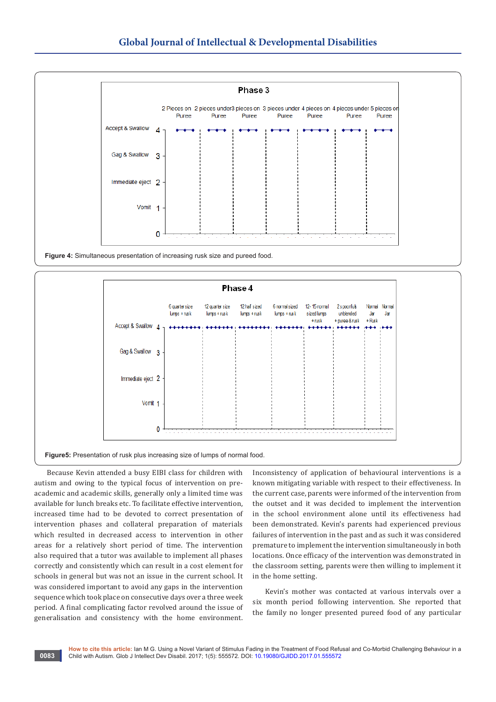

**Figure 4:** Simultaneous presentation of increasing rusk size and pureed food.



**Figure5:** Presentation of rusk plus increasing size of lumps of normal food.

Because Kevin attended a busy EIBI class for children with autism and owing to the typical focus of intervention on preacademic and academic skills, generally only a limited time was available for lunch breaks etc. To facilitate effective intervention, increased time had to be devoted to correct presentation of intervention phases and collateral preparation of materials which resulted in decreased access to intervention in other areas for a relatively short period of time. The intervention also required that a tutor was available to implement all phases correctly and consistently which can result in a cost element for schools in general but was not an issue in the current school. It was considered important to avoid any gaps in the intervention sequence which took place on consecutive days over a three week period. A final complicating factor revolved around the issue of generalisation and consistency with the home environment.

Inconsistency of application of behavioural interventions is a known mitigating variable with respect to their effectiveness. In the current case, parents were informed of the intervention from the outset and it was decided to implement the intervention in the school environment alone until its effectiveness had been demonstrated. Kevin's parents had experienced previous failures of intervention in the past and as such it was considered premature to implement the intervention simultaneously in both locations. Once efficacy of the intervention was demonstrated in the classroom setting, parents were then willing to implement it in the home setting.

Kevin's mother was contacted at various intervals over a six month period following intervention. She reported that the family no longer presented pureed food of any particular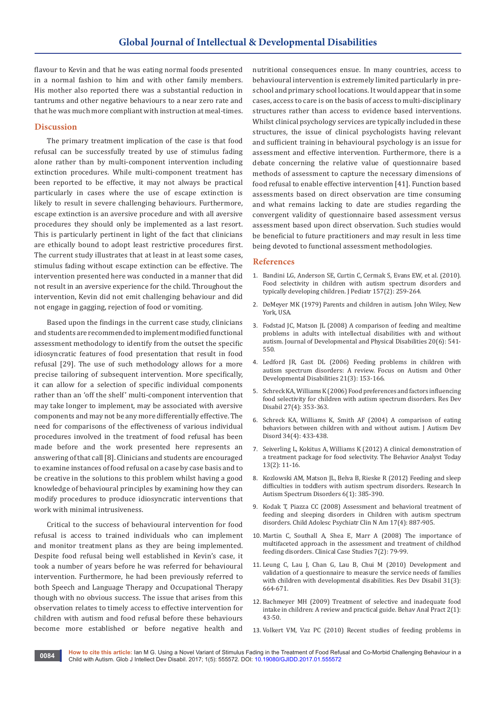flavour to Kevin and that he was eating normal foods presented in a normal fashion to him and with other family members. His mother also reported there was a substantial reduction in tantrums and other negative behaviours to a near zero rate and that he was much more compliant with instruction at meal-times.

## **Discussion**

The primary treatment implication of the case is that food refusal can be successfully treated by use of stimulus fading alone rather than by multi-component intervention including extinction procedures. While multi-component treatment has been reported to be effective, it may not always be practical particularly in cases where the use of escape extinction is likely to result in severe challenging behaviours. Furthermore, escape extinction is an aversive procedure and with all aversive procedures they should only be implemented as a last resort. This is particularly pertinent in light of the fact that clinicians are ethically bound to adopt least restrictive procedures first. The current study illustrates that at least in at least some cases, stimulus fading without escape extinction can be effective. The intervention presented here was conducted in a manner that did not result in an aversive experience for the child. Throughout the intervention, Kevin did not emit challenging behaviour and did not engage in gagging, rejection of food or vomiting.

Based upon the findings in the current case study, clinicians and students are recommended to implement modified functional assessment methodology to identify from the outset the specific idiosyncratic features of food presentation that result in food refusal [29]. The use of such methodology allows for a more precise tailoring of subsequent intervention. More specifically, it can allow for a selection of specific individual components rather than an 'off the shelf' multi-component intervention that may take longer to implement, may be associated with aversive components and may not be any more differentially effective. The need for comparisons of the effectiveness of various individual procedures involved in the treatment of food refusal has been made before and the work presented here represents an answering of that call [8]. Clinicians and students are encouraged to examine instances of food refusal on a case by case basis and to be creative in the solutions to this problem whilst having a good knowledge of behavioural principles by examining how they can modify procedures to produce idiosyncratic interventions that work with minimal intrusiveness.

Critical to the success of behavioural intervention for food refusal is access to trained individuals who can implement and monitor treatment plans as they are being implemented. Despite food refusal being well established in Kevin's case, it took a number of years before he was referred for behavioural intervention. Furthermore, he had been previously referred to both Speech and Language Therapy and Occupational Therapy though with no obvious success. The issue that arises from this observation relates to timely access to effective intervention for children with autism and food refusal before these behaviours become more established or before negative health and

nutritional consequences ensue. In many countries, access to behavioural intervention is extremely limited particularly in preschool and primary school locations. It would appear that in some cases, access to care is on the basis of access to multi-disciplinary structures rather than access to evidence based interventions. Whilst clinical psychology services are typically included in these structures, the issue of clinical psychologists having relevant and sufficient training in behavioural psychology is an issue for assessment and effective intervention. Furthermore, there is a debate concerning the relative value of questionnaire based methods of assessment to capture the necessary dimensions of food refusal to enable effective intervention [41]. Function based assessments based on direct observation are time consuming and what remains lacking to date are studies regarding the convergent validity of questionnaire based assessment versus assessment based upon direct observation. Such studies would be beneficial to future practitioners and may result in less time being devoted to functional assessment methodologies.

#### **References**

- 1. [Bandini LG, Anderson SE, Curtin C, Cermak S, Evans EW, et al. \(2010\).](https://www.ncbi.nlm.nih.gov/pubmed/20362301)  [Food selectivity in children with autism spectrum disorders and](https://www.ncbi.nlm.nih.gov/pubmed/20362301)  [typically developing children. J Pediatr 157\(2\): 259-264.](https://www.ncbi.nlm.nih.gov/pubmed/20362301)
- 2. DeMeyer MK (1979) Parents and children in autism. John Wiley, New York, USA.
- 3. [Fodstad JC, Matson JL \(2008\) A comparison of feeding and mealtime](https://link.springer.com/article/10.1007/s10882-008-9116-6)  [problems in adults with intellectual disabilities with and without](https://link.springer.com/article/10.1007/s10882-008-9116-6)  [autism. Journal of Developmental and Physical Disabilities 20\(6\): 541-](https://link.springer.com/article/10.1007/s10882-008-9116-6) [550.](https://link.springer.com/article/10.1007/s10882-008-9116-6)
- 4. [Ledford JR, Gast DL \(2006\) Feeding problems in children with](http://www.lrcss.com/assets/pdfs/Feeding_problems_in_Autism.pdf)  [autism spectrum disorders: A review. Focus on Autism and Other](http://www.lrcss.com/assets/pdfs/Feeding_problems_in_Autism.pdf)  [Developmental Disabilities 21\(3\): 153-166.](http://www.lrcss.com/assets/pdfs/Feeding_problems_in_Autism.pdf)
- 5. [Schreck KA, Williams K \(2006\) Food preferences and factors influencing](https://www.ncbi.nlm.nih.gov/pubmed/16043324)  [food selectivity for children with autism spectrum disorders. Res Dev](https://www.ncbi.nlm.nih.gov/pubmed/16043324)  [Disabil 27\(4\): 353-363.](https://www.ncbi.nlm.nih.gov/pubmed/16043324)
- 6. [Schreck KA, Williams K, Smith AF \(2004\) A comparison of eating](https://www.ncbi.nlm.nih.gov/pubmed/15449518)  [behaviors between children with and without autism. J Autism Dev](https://www.ncbi.nlm.nih.gov/pubmed/15449518)  [Disord 34\(4\): 433-438.](https://www.ncbi.nlm.nih.gov/pubmed/15449518)
- 7. [Seiverling L, Kokitus A, Williams K \(2012\) A clinical demonstration of](http://psycnet.apa.org/journals/bar/13/2/11.pdf)  [a treatment package for food selectivity. The Behavior Analyst Today](http://psycnet.apa.org/journals/bar/13/2/11.pdf)  [13\(2\): 11-16.](http://psycnet.apa.org/journals/bar/13/2/11.pdf)
- 8. Kozlowski AM, Matson JL, Belva B, Rieske R (2012) Feeding and sleep difficulties in toddlers with autism spectrum disorders. Research In Autism Spectrum Disorders 6(1): 385-390.
- 9. [Kodak T, Piazza CC \(2008\) Assessment and behavioral treatment of](https://www.ncbi.nlm.nih.gov/pubmed/18775376)  [feeding and sleeping disorders in Children with autism spectrum](https://www.ncbi.nlm.nih.gov/pubmed/18775376)  [disorders. Child Adolesc Psychiatr Clin N Am 17\(4\): 887-905.](https://www.ncbi.nlm.nih.gov/pubmed/18775376)
- 10. [Martin C, Southall A, Shea E, Marr A \(2008\) The importance of](http://journals.sagepub.com/doi/abs/10.1177/1094428106302871)  [multifaceted approach in the assessment and treatment of childhod](http://journals.sagepub.com/doi/abs/10.1177/1094428106302871)  [feeding disorders. Clinical Case Studies 7\(2\): 79-99.](http://journals.sagepub.com/doi/abs/10.1177/1094428106302871)
- 11. [Leung C, Lau J, Chan G, Lau B, Chui M \(2010\) Development and](https://www.ncbi.nlm.nih.gov/pubmed/20153603)  [validation of a questionnaire to measure the service needs of families](https://www.ncbi.nlm.nih.gov/pubmed/20153603)  [with children with developmental disabilities. Res Dev Disabil 31\(3\):](https://www.ncbi.nlm.nih.gov/pubmed/20153603)  [664-671.](https://www.ncbi.nlm.nih.gov/pubmed/20153603)
- 12. [Bachmeyer MH \(2009\) Treatment of selective and inadequate food](https://www.ncbi.nlm.nih.gov/pubmed/22477695/)  [intake in children: A review and practical guide. Behav Anal Pract 2\(1\):](https://www.ncbi.nlm.nih.gov/pubmed/22477695/)  [43-50.](https://www.ncbi.nlm.nih.gov/pubmed/22477695/)
- 13. [Volkert VM, Vaz PC \(2010\) Recent studies of feeding problems in](https://www.ncbi.nlm.nih.gov/pubmed/20808508/)